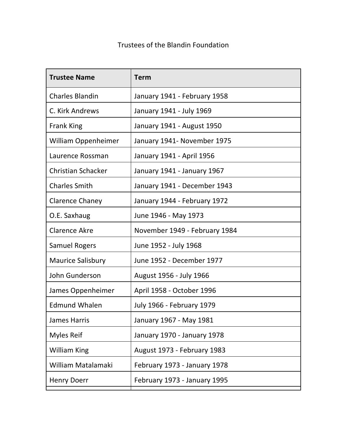## Trustees of the Blandin Foundation

| <b>Term</b>                      |
|----------------------------------|
| January 1941 - February 1958     |
| January 1941 - July 1969         |
| January 1941 - August 1950       |
| January 1941- November 1975      |
| January 1941 - April 1956        |
| January 1941 - January 1967      |
| January 1941 - December 1943     |
| January 1944 - February 1972     |
| June 1946 - May 1973             |
| November 1949 - February 1984    |
| June 1952 - July 1968            |
| June 1952 - December 1977        |
| August 1956 - July 1966          |
| April 1958 - October 1996        |
| <b>July 1966 - February 1979</b> |
| January 1967 - May 1981          |
| January 1970 - January 1978      |
| August 1973 - February 1983      |
| February 1973 - January 1978     |
| February 1973 - January 1995     |
|                                  |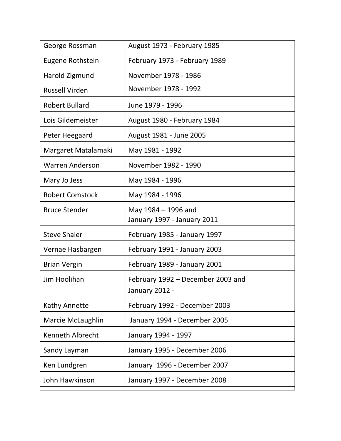| August 1973 - February 1985                         |
|-----------------------------------------------------|
| February 1973 - February 1989                       |
| November 1978 - 1986                                |
| November 1978 - 1992                                |
| June 1979 - 1996                                    |
| August 1980 - February 1984                         |
| August 1981 - June 2005                             |
| May 1981 - 1992                                     |
| November 1982 - 1990                                |
| May 1984 - 1996                                     |
| May 1984 - 1996                                     |
| May 1984 - 1996 and<br>January 1997 - January 2011  |
| February 1985 - January 1997                        |
| February 1991 - January 2003                        |
| February 1989 - January 2001                        |
| February 1992 – December 2003 and<br>January 2012 - |
| February 1992 - December 2003                       |
| January 1994 - December 2005                        |
| January 1994 - 1997                                 |
| January 1995 - December 2006                        |
| January 1996 - December 2007                        |
|                                                     |
|                                                     |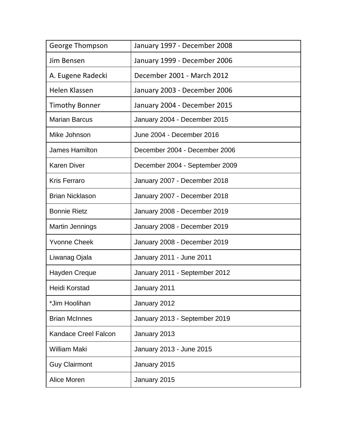| George Thompson             | January 1997 - December 2008   |
|-----------------------------|--------------------------------|
| Jim Bensen                  | January 1999 - December 2006   |
| A. Eugene Radecki           | December 2001 - March 2012     |
| Helen Klassen               | January 2003 - December 2006   |
| <b>Timothy Bonner</b>       | January 2004 - December 2015   |
| <b>Marian Barcus</b>        | January 2004 - December 2015   |
| Mike Johnson                | June 2004 - December 2016      |
| <b>James Hamilton</b>       | December 2004 - December 2006  |
| <b>Karen Diver</b>          | December 2004 - September 2009 |
| <b>Kris Ferraro</b>         | January 2007 - December 2018   |
| <b>Brian Nicklason</b>      | January 2007 - December 2018   |
| <b>Bonnie Rietz</b>         | January 2008 - December 2019   |
| <b>Martin Jennings</b>      | January 2008 - December 2019   |
| <b>Yvonne Cheek</b>         | January 2008 - December 2019   |
| Liwanag Ojala               | January 2011 - June 2011       |
| <b>Hayden Creque</b>        | January 2011 - September 2012  |
| <b>Heidi Korstad</b>        | January 2011                   |
| *Jim Hoolihan               | January 2012                   |
| <b>Brian McInnes</b>        | January 2013 - September 2019  |
| <b>Kandace Creel Falcon</b> | January 2013                   |
| <b>William Maki</b>         | January 2013 - June 2015       |
| <b>Guy Clairmont</b>        | January 2015                   |
| Alice Moren                 | January 2015                   |